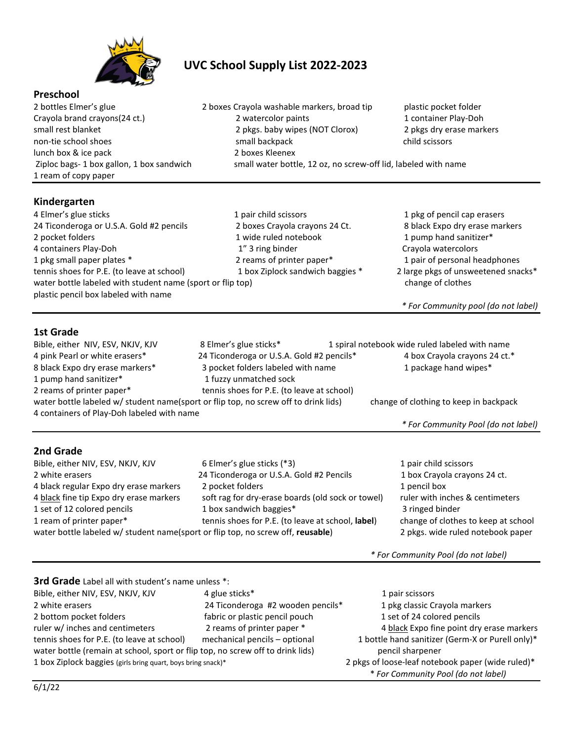

# **UVC School Supply List 2022-2023**

### **Preschool**

lunch box & ice pack 2 boxes Kleenex 1 ream of copy paper

#### **Kindergarten**

2 bottles Elmer's glue 2 boxes Crayola washable markers, broad tip plastic pocket folder Crayola brand crayons(24 ct.) <br>
2 watercolor paints 1 container Play-Doh<br>
2 pkgs. baby wipes (NOT Clorox) 2 pkgs dry erase mark<br>
2 pkgs dry erase mark 2 pkgs. baby wipes (NOT Clorox) 2 pkgs dry erase markers non-tie school shoes small backpack child scissors small backpack child scissors Ziploc bags- 1 box gallon, 1 box sandwich small water bottle, 12 oz, no screw-off lid, labeled with name

| 4 Elmer's glue sticks                                      | 1 pair child scissors            | 1 pkg of pencil cap erasers         |
|------------------------------------------------------------|----------------------------------|-------------------------------------|
| 24 Ticonderoga or U.S.A. Gold #2 pencils                   | 2 boxes Crayola crayons 24 Ct.   | 8 black Expo dry erase markers      |
| 2 pocket folders                                           | 1 wide ruled notebook            | 1 pump hand sanitizer*              |
| 4 containers Play-Doh                                      | 1" 3 ring binder                 | Crayola watercolors                 |
| 1 pkg small paper plates *                                 | 2 reams of printer paper*        | 1 pair of personal headphones       |
| tennis shoes for P.E. (to leave at school)                 | 1 box Ziplock sandwich baggies * | 2 large pkgs of unsweetened snacks* |
| water bottle labeled with student name (sport or flip top) |                                  | change of clothes                   |
| plastic pencil box labeled with name                       |                                  |                                     |
|                                                            |                                  | * For Community pool (do not label) |
|                                                            |                                  |                                     |

## **1st Grade**

| Bible, either NIV, ESV, NKJV, KJV                                                   | 8 Elmer's glue sticks*                     | 1 spiral notebook wide ruled labeled with name |
|-------------------------------------------------------------------------------------|--------------------------------------------|------------------------------------------------|
| 4 pink Pearl or white erasers*                                                      | 24 Ticonderoga or U.S.A. Gold #2 pencils*  | 4 box Crayola crayons 24 ct.*                  |
| 8 black Expo dry erase markers*                                                     | 3 pocket folders labeled with name         | 1 package hand wipes*                          |
| 1 pump hand sanitizer*                                                              | 1 fuzzy unmatched sock                     |                                                |
| 2 reams of printer paper*                                                           | tennis shoes for P.E. (to leave at school) |                                                |
| water bottle labeled w/ student name(sport or flip top, no screw off to drink lids) |                                            | change of clothing to keep in backpack         |
| 4 containers of Play-Doh labeled with name                                          |                                            |                                                |

## *\* For Community Pool (do not label)*

| Bible, either NIV, ESV, NKJV, KJV                                               | 6 Elmer's glue sticks (*3)                        | 1 pair child scissors               |
|---------------------------------------------------------------------------------|---------------------------------------------------|-------------------------------------|
| 2 white erasers                                                                 | 24 Ticonderoga or U.S.A. Gold #2 Pencils          | 1 box Crayola crayons 24 ct.        |
| 4 black regular Expo dry erase markers                                          | 2 pocket folders                                  | 1 pencil box                        |
| 4 black fine tip Expo dry erase markers                                         | soft rag for dry-erase boards (old sock or towel) | ruler with inches & centimeters     |
| 1 set of 12 colored pencils                                                     | 1 box sandwich baggies*                           | 3 ringed binder                     |
| 1 ream of printer paper*                                                        | tennis shoes for P.E. (to leave at school, label) | change of clothes to keep at school |
| water bottle labeled w/ student name(sport or flip top, no screw off, reusable) |                                                   | 2 pkgs. wide ruled notebook paper   |

*\* For Community Pool (do not label)*

**3rd Grade** Label all with student's name unless \*:

| Bible, either NIV, ESV, NKJV, KJV                                              | 4 glue sticks*                    | 1 pair scissors                                   |
|--------------------------------------------------------------------------------|-----------------------------------|---------------------------------------------------|
| 2 white erasers                                                                | 24 Ticonderoga #2 wooden pencils* | 1 pkg classic Crayola markers                     |
| 2 bottom pocket folders                                                        | fabric or plastic pencil pouch    | 1 set of 24 colored pencils                       |
| ruler w/ inches and centimeters                                                | 2 reams of printer paper *        | 4 black Expo fine point dry erase markers         |
| tennis shoes for P.E. (to leave at school)                                     | mechanical pencils - optional     | 1 bottle hand sanitizer (Germ-X or Purell only)*  |
| water bottle (remain at school, sport or flip top, no screw off to drink lids) |                                   | pencil sharpener                                  |
| 1 box Ziplock baggies (girls bring quart, boys bring snack)*                   |                                   | 2 pkgs of loose-leaf notebook paper (wide ruled)* |
|                                                                                |                                   | * For Community Pool (do not label)               |